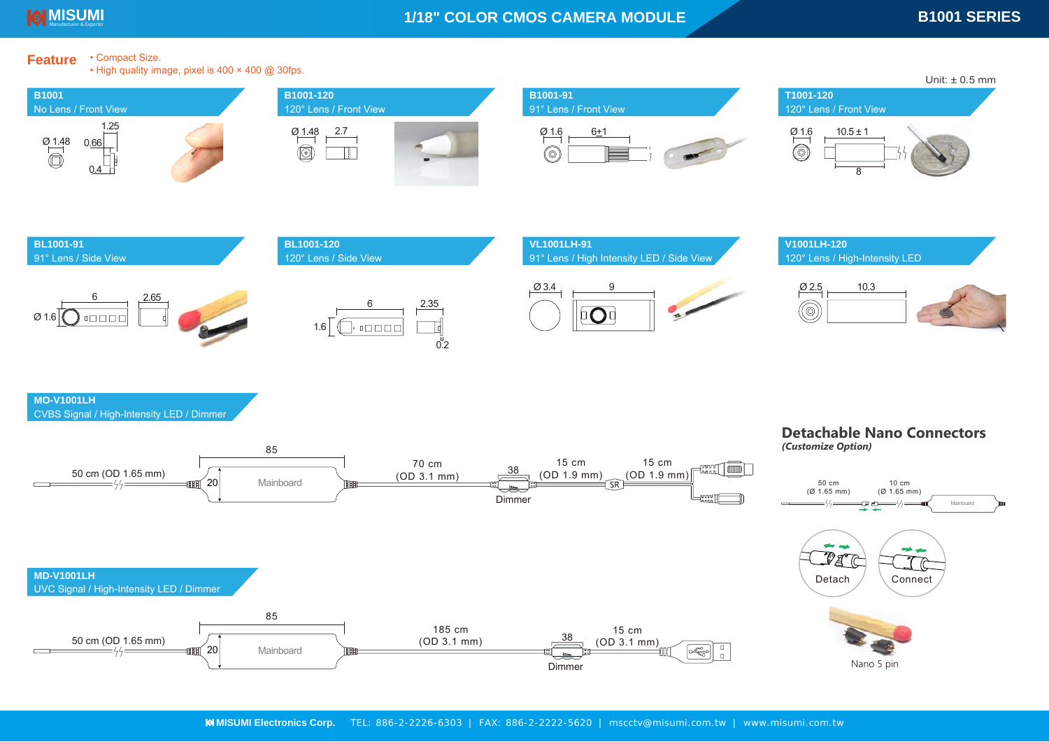

• High quality image, pixel is 400 × 400 @ 30fps.

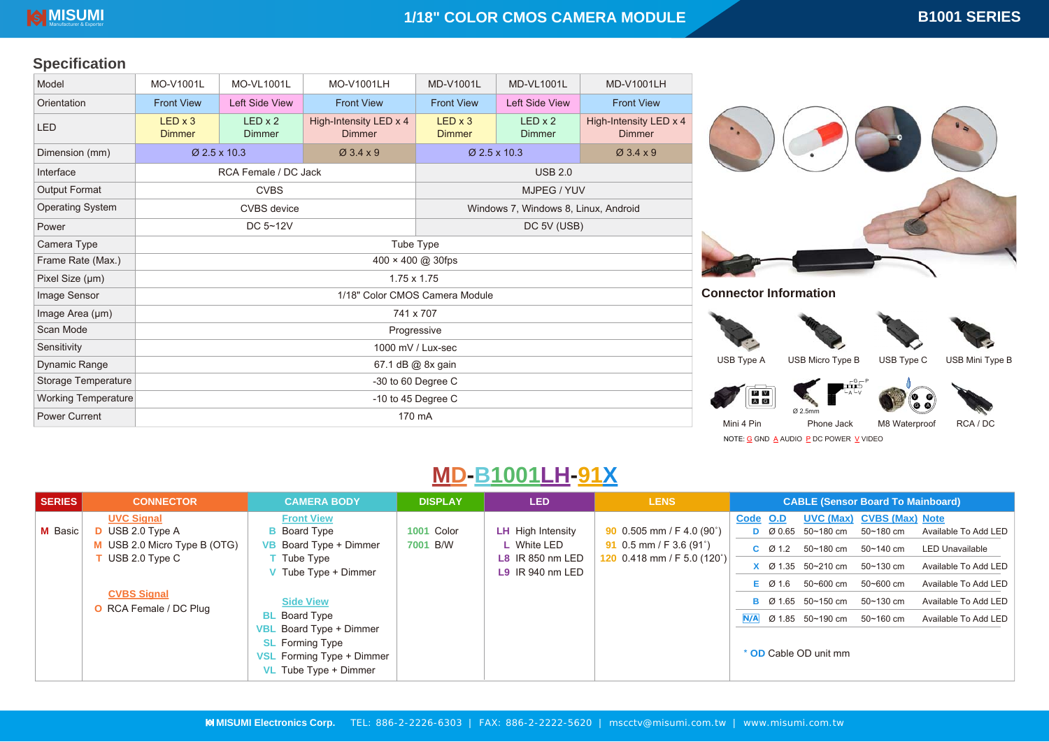## **Specification**

| Model                      | MO-V1001L                       | <b>MO-VL1001L</b>               | MO-V1001LH                              | <b>MD-V1001L</b>                     | <b>MD-VL1001L</b>               | <b>MD-V1001LH</b>                       |  |
|----------------------------|---------------------------------|---------------------------------|-----------------------------------------|--------------------------------------|---------------------------------|-----------------------------------------|--|
| Orientation                | <b>Front View</b>               | <b>Left Side View</b>           | <b>Front View</b>                       | <b>Front View</b>                    | <b>Left Side View</b>           | <b>Front View</b>                       |  |
| <b>LED</b>                 | $LED \times 3$<br><b>Dimmer</b> | $LED \times 2$<br><b>Dimmer</b> | High-Intensity LED x 4<br><b>Dimmer</b> | $LED \times 3$<br><b>Dimmer</b>      | $LED \times 2$<br><b>Dimmer</b> | High-Intensity LED x 4<br><b>Dimmer</b> |  |
| Dimension (mm)             |                                 | $\varnothing$ 2.5 x 10.3        | $\varnothing$ 3.4 $\times$ 9            | Ø 2.5 x 10.3                         |                                 | $Ø$ 3.4 x 9                             |  |
| Interface                  |                                 | RCA Female / DC Jack            |                                         | <b>USB 2.0</b>                       |                                 |                                         |  |
| Output Format              |                                 | <b>CVBS</b>                     |                                         | MJPEG / YUV                          |                                 |                                         |  |
| <b>Operating System</b>    |                                 | <b>CVBS</b> device              |                                         | Windows 7, Windows 8, Linux, Android |                                 |                                         |  |
| Power                      |                                 | DC 5~12V                        |                                         | DC 5V (USB)                          |                                 |                                         |  |
| Camera Type                | Tube Type                       |                                 |                                         |                                      |                                 |                                         |  |
| Frame Rate (Max.)          | 400 × 400 @ 30fps               |                                 |                                         |                                      |                                 |                                         |  |
| Pixel Size (µm)            | $1.75 \times 1.75$              |                                 |                                         |                                      |                                 |                                         |  |
| Image Sensor               | 1/18" Color CMOS Camera Module  |                                 |                                         |                                      |                                 |                                         |  |
| Image Area (µm)            | 741 x 707                       |                                 |                                         |                                      |                                 |                                         |  |
| Scan Mode                  | Progressive                     |                                 |                                         |                                      |                                 |                                         |  |
| Sensitivity                | 1000 mV / Lux-sec               |                                 |                                         |                                      |                                 |                                         |  |
| Dynamic Range              | 67.1 dB @ 8x gain               |                                 |                                         |                                      |                                 |                                         |  |
| Storage Temperature        | -30 to 60 Degree C              |                                 |                                         |                                      |                                 |                                         |  |
| <b>Working Temperature</b> | -10 to 45 Degree $C$            |                                 |                                         |                                      |                                 |                                         |  |
| <b>Power Current</b>       | 170 mA                          |                                 |                                         |                                      |                                 |                                         |  |



**Connector Information**







Type A USB Micro Type B USB Type C USB Mini Type B

P

G







V

G

Phone Jack M8 Waterproof RCA / DC

NOTE: <u>G</u> GND <u>A</u> AUDIO <u>P</u> DC POWER <u>V</u> VIDEO

# **MD-B1001LH-91X**

| SERIES <sup>1</sup> | <b>CONNECTOR</b>                                                                                                                                                  | <b>CAMERA BODY</b>                                                                                                                                                                                                                                                                             | <b>DISPLAY</b>         | <b>LED</b>                                                                               | <b>LENS</b>                                                                                      | <b>CABLE (Sensor Board To Mainboard)</b>                                                                                                                                                                                                                                                                                                                                                                                                                                                                      |
|---------------------|-------------------------------------------------------------------------------------------------------------------------------------------------------------------|------------------------------------------------------------------------------------------------------------------------------------------------------------------------------------------------------------------------------------------------------------------------------------------------|------------------------|------------------------------------------------------------------------------------------|--------------------------------------------------------------------------------------------------|---------------------------------------------------------------------------------------------------------------------------------------------------------------------------------------------------------------------------------------------------------------------------------------------------------------------------------------------------------------------------------------------------------------------------------------------------------------------------------------------------------------|
| M Basic             | <b>UVC Signal</b><br><b>D</b> USB 2.0 Type A<br>M USB 2.0 Micro Type B (OTG)<br>$\mathsf T$ USB 2.0 Type C<br><b>CVBS Signal</b><br><b>O</b> RCA Female / DC Plug | <b>Front View</b><br><b>B</b> Board Type<br>VB Board Type + Dimmer<br>$\Gamma$ Tube Type<br><b>V</b> Tube Type $+$ Dimmer<br><b>Side View</b><br><b>BL</b> Board Type<br><b>VBL</b> Board Type + Dimmer<br><b>SL</b> Forming Type<br><b>VSL</b> Forming Type + Dimmer<br>VL Tube Type + Dimmer | 1001 Color<br>7001 B/W | <b>LH</b> High Intensity<br>L White LED<br><b>L8</b> IR 850 nm LED<br>$L9$ IR 940 nm LED | 90 $0.505$ mm / F 4.0 (90°)<br>91 0.5 mm / F 3.6 $(91^{\circ})$<br>120 $0.418$ mm / F 5.0 (120°) | <b>UVC (Max) CVBS (Max) Note</b><br>Code O.D<br>Available To Add LED<br>D $\varnothing$ 0.65 50~180 cm<br>50~180 cm<br>50~180 cm<br>50~140 cm<br>$C$ $\varnothing$ 1.2<br><b>LED Unavailable</b><br>$X$ $\varnothing$ 1.35 50~210 cm<br>50~130 cm<br>Available To Add LED<br>50~600 cm<br>Available To Add LED<br>50~600 cm<br>E Ø 1.6<br><b>B</b> $\varnothing$ 1.65 50~150 cm<br>50~130 cm<br>Available To Add LED<br>Ø 1.85 50~190 cm<br>50~160 cm<br>Available To Add LED<br>N/A<br>* OD Cable OD unit mm |